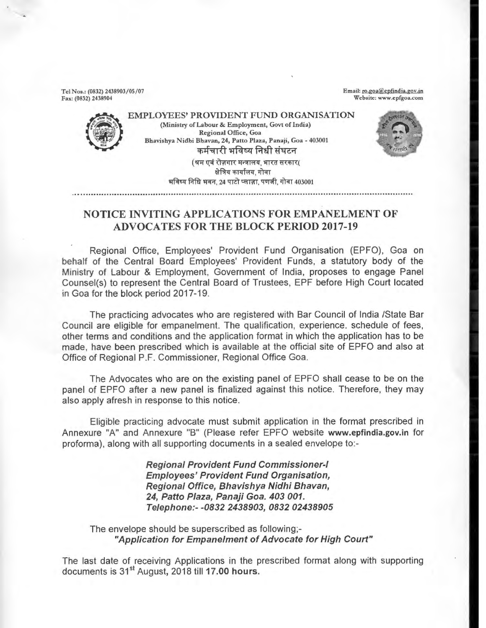Tel Nos.: (0832) 2438903/05/07 Fax: (0832) 2438904

Email: ro.goa@epfindia.gov.in Website: www.epfgoa.com



EMPLOYEES' PROVIDENT FUND ORGANISATION (Ministry of Labour & Employment, Govt of India) Regional Office, Goa Bhavishya Nidhi Bhavan, 24, Patto Plaza, Panaji, Goa - 403001<br>कर्मचारी भविष्य निधी संघटन ्कर्मचारी भविष्य निर्धा संघटन<br>(श्रम एवं रोज़गार मन्त्रालय, भारत सरकार(<br>सेत्रिय कार्यालय, गोवा<br>स्ट्री ज्यान २० प्यो ज्यान पार्टी योज (239 - क्षेत्रिय कार्यालय, गोवा<br>भविष्य निधि भवन. 24 पाटो प्लाज़ा. पणजी. गोवा 403001

## **NOTICE INVITING APPLICATIONS FOR EMPANELMENT OF ADVOCATES FOR THE BLOCK PERIOD 2017-19**

Regional Office, Employees' Provident Fund Organisation (EPFO), Goa on behalf of the Central Board Employees' Provident Funds, a statutory body of the Ministry of Labour & Employment, Government of India, proposes to engage Panel Counsel(s) to represent the Central Board of Trustees, EPF before High Court located in Goa for the block period 2017-19.

The practicing advocates who are registered with Bar Council of India /State Bar Council are eligible for empanelment. The qualification, experience. schedule of fees, other terms and conditions and the application format in which the application has to be made, have been prescribed which is available at the official site of EPFO and also at Office of Regional P.F. Commissioner, Regional Office Goa.

The Advocates who are on the existing panel of EPFO shall cease to be on the panel of EPFO after a new panel is finalized against this notice. Therefore, they may also apply afresh in response to this notice.

Eligible practicing advocate must submit application in the format prescribed in Annexure "A" and Annexure "B" (Please refer EPFO website **www.epfindia.gov.in** for proforma), along with all supporting documents in a sealed envelope to:-

> **Regional Provident Fund Commissioner-I Employees' Provident Fund Organisation, Regional Office, Bhavishya Nidhi Bhavan, 24, Patto Plaza, Panaji Goa. 403 001. Telephone:- -0832 2438903, 0832 02438905**

The envelope should be superscribed as following;- **"Application for Empanelment of Advocate for High Court"** 

The last date of receiving Applications in the prescribed format along with supporting documents is 31<sup>st</sup> August, 2018 till 17.00 hours.